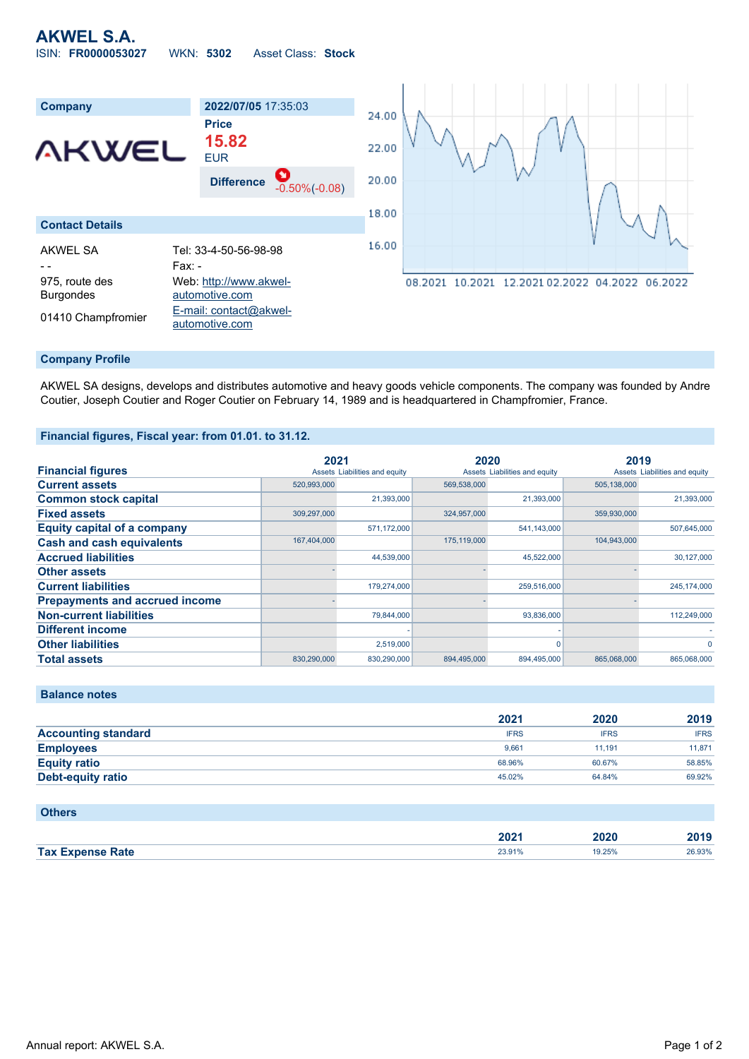# **AKWEL S.A.** ISIN: **FR0000053027** WKN: **5302** Asset Class: **Stock**



### **Company Profile**

AKWEL SA designs, develops and distributes automotive and heavy goods vehicle components. The company was founded by Andre Coutier, Joseph Coutier and Roger Coutier on February 14, 1989 and is headquartered in Champfromier, France.

### **Financial figures, Fiscal year: from 01.01. to 31.12.**

|                                       | 2021        |                               | 2020        |                               | 2019        |                               |
|---------------------------------------|-------------|-------------------------------|-------------|-------------------------------|-------------|-------------------------------|
| <b>Financial figures</b>              |             | Assets Liabilities and equity |             | Assets Liabilities and equity |             | Assets Liabilities and equity |
| <b>Current assets</b>                 | 520,993,000 |                               | 569,538,000 |                               | 505,138,000 |                               |
| <b>Common stock capital</b>           |             | 21.393.000                    |             | 21,393,000                    |             | 21,393,000                    |
| <b>Fixed assets</b>                   | 309,297,000 |                               | 324,957,000 |                               | 359,930,000 |                               |
| <b>Equity capital of a company</b>    |             | 571,172,000                   |             | 541,143,000                   |             | 507,645,000                   |
| <b>Cash and cash equivalents</b>      | 167,404,000 |                               | 175,119,000 |                               | 104,943,000 |                               |
| <b>Accrued liabilities</b>            |             | 44,539,000                    |             | 45,522,000                    |             | 30,127,000                    |
| <b>Other assets</b>                   |             |                               |             |                               |             |                               |
| <b>Current liabilities</b>            |             | 179,274,000                   |             | 259,516,000                   |             | 245,174,000                   |
| <b>Prepayments and accrued income</b> |             |                               |             |                               |             |                               |
| <b>Non-current liabilities</b>        |             | 79.844.000                    |             | 93,836,000                    |             | 112,249,000                   |
| <b>Different income</b>               |             |                               |             |                               |             |                               |
| <b>Other liabilities</b>              |             | 2,519,000                     |             | 0                             |             | $\Omega$                      |
| <b>Total assets</b>                   | 830.290.000 | 830.290.000                   | 894.495.000 | 894.495.000                   | 865.068.000 | 865.068.000                   |

**Balance notes**

**Others**

|                            | 2021        | 2020        | 2019        |
|----------------------------|-------------|-------------|-------------|
| <b>Accounting standard</b> | <b>IFRS</b> | <b>IFRS</b> | <b>IFRS</b> |
| <b>Employees</b>           | 9.661       | 11.191      | 11.871      |
| <b>Equity ratio</b>        | 68.96%      | 60.67%      | 58.85%      |
| <b>Debt-equity ratio</b>   | 45.02%      | 64.84%      | 69.92%      |

| <b>UTTELS</b>           |        |        |        |
|-------------------------|--------|--------|--------|
|                         |        |        | 2019   |
|                         | 2021   | 2020   |        |
| <b>Tax Expense Rate</b> | 23.91% | 19.25% | 26.93% |